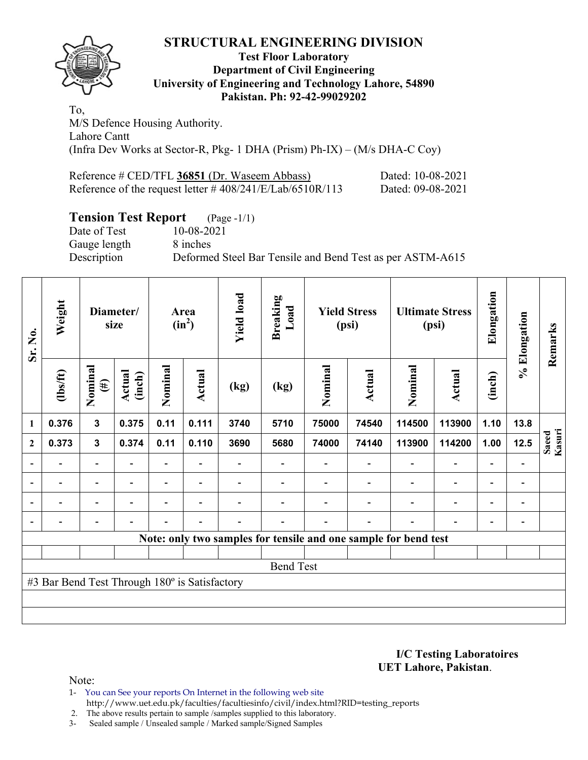## **STRUCTURAL ENGINEERING DIVISION**



#### **Test Floor Laboratory Department of Civil Engineering University of Engineering and Technology Lahore, 54890 Pakistan. Ph: 92-42-99029202**

To, M/S Defence Housing Authority. Lahore Cantt (Infra Dev Works at Sector-R, Pkg- 1 DHA (Prism) Ph-IX) – (M/s DHA-C Coy)

| Reference # CED/TFL 36851 (Dr. Waseem Abbass)                | Dated: 10-08-2021 |
|--------------------------------------------------------------|-------------------|
| Reference of the request letter $\# 408/241/E/Lab/6510R/113$ | Dated: 09-08-2021 |

# **Tension Test Report** (Page -1/1)

Gauge length 8 inches

Date of Test 10-08-2021 Description Deformed Steel Bar Tensile and Bend Test as per ASTM-A615

| Sr. No.                                       | Weight                                                          | Diameter/<br>size        |                          | Area<br>$(in^2)$         |                          | <b>Yield load</b>        | <b>Breaking</b><br>Load | <b>Yield Stress</b><br>(psi) |                          | <b>Ultimate Stress</b><br>(psi) |                          | Elongation               | % Elongation             | Remarks         |
|-----------------------------------------------|-----------------------------------------------------------------|--------------------------|--------------------------|--------------------------|--------------------------|--------------------------|-------------------------|------------------------------|--------------------------|---------------------------------|--------------------------|--------------------------|--------------------------|-----------------|
|                                               | $\frac{2}{10}$                                                  | Nominal<br>$(\#)$        | Actual<br>(inch)         | Nominal                  | <b>Actual</b>            | (kg)                     | (kg)                    | Nominal                      | Actual                   | Nominal                         | <b>Actual</b>            | (inch)                   |                          |                 |
| 1                                             | 0.376                                                           | $\mathbf{3}$             | 0.375                    | 0.11                     | 0.111                    | 3740                     | 5710                    | 75000                        | 74540                    | 114500                          | 113900                   | 1.10                     | 13.8                     |                 |
| $\overline{2}$                                | 0.373                                                           | $\mathbf{3}$             | 0.374                    | 0.11                     | 0.110                    | 3690                     | 5680                    | 74000                        | 74140                    | 113900                          | 114200                   | 1.00                     | 12.5                     | Saeed<br>Kasuri |
|                                               |                                                                 | $\overline{a}$           |                          |                          |                          |                          |                         |                              |                          |                                 |                          |                          |                          |                 |
| $\overline{\phantom{a}}$                      | $\overline{\phantom{0}}$                                        | $\overline{\phantom{a}}$ | $\overline{\phantom{a}}$ | $\overline{\phantom{0}}$ | $\overline{\phantom{a}}$ |                          |                         |                              | $\overline{\phantom{0}}$ | $\overline{\phantom{0}}$        | $\overline{\phantom{a}}$ | $\overline{\phantom{0}}$ | $\overline{\phantom{a}}$ |                 |
|                                               | $\overline{\phantom{0}}$                                        | $\overline{\phantom{0}}$ |                          | -                        | $\overline{\phantom{0}}$ |                          |                         |                              |                          |                                 | $\overline{\phantom{0}}$ | $\overline{\phantom{0}}$ | $\overline{\phantom{a}}$ |                 |
|                                               | $\overline{\phantom{0}}$                                        | $\overline{\phantom{a}}$ |                          | Ξ.                       | $\overline{\phantom{0}}$ | $\overline{\phantom{0}}$ | $\blacksquare$          |                              | $\overline{\phantom{0}}$ | $\blacksquare$                  | $\overline{\phantom{0}}$ | $\overline{\phantom{0}}$ | $\overline{\phantom{a}}$ |                 |
|                                               | Note: only two samples for tensile and one sample for bend test |                          |                          |                          |                          |                          |                         |                              |                          |                                 |                          |                          |                          |                 |
|                                               |                                                                 |                          |                          |                          |                          |                          |                         |                              |                          |                                 |                          |                          |                          |                 |
| <b>Bend Test</b>                              |                                                                 |                          |                          |                          |                          |                          |                         |                              |                          |                                 |                          |                          |                          |                 |
| #3 Bar Bend Test Through 180° is Satisfactory |                                                                 |                          |                          |                          |                          |                          |                         |                              |                          |                                 |                          |                          |                          |                 |
|                                               |                                                                 |                          |                          |                          |                          |                          |                         |                              |                          |                                 |                          |                          |                          |                 |
|                                               |                                                                 |                          |                          |                          |                          |                          |                         |                              |                          |                                 |                          |                          |                          |                 |

**I/C Testing Laboratoires UET Lahore, Pakistan**.

Note:

1- You can See your reports On Internet in the following web site http://www.uet.edu.pk/faculties/facultiesinfo/civil/index.html?RID=testing\_reports

2. The above results pertain to sample /samples supplied to this laboratory.

3- Sealed sample / Unsealed sample / Marked sample/Signed Samples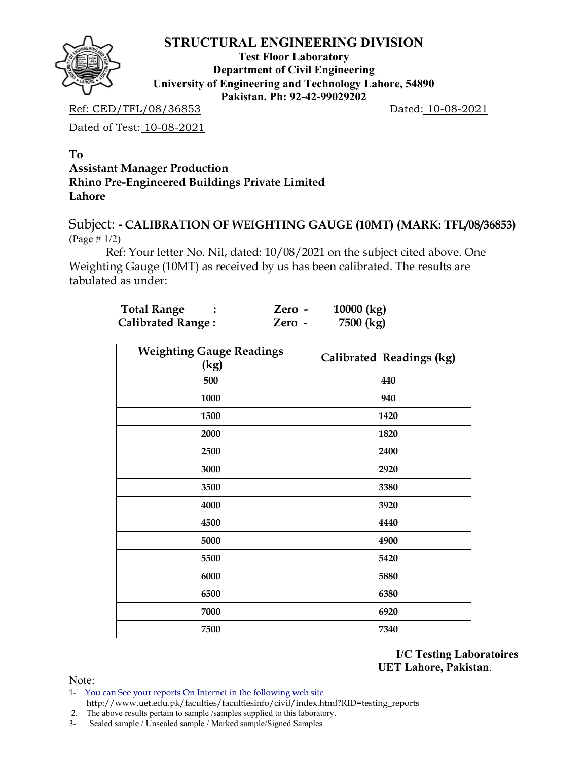

### **STRUCTURAL ENGINEERING DIVISION**

**Test Floor Laboratory Department of Civil Engineering University of Engineering and Technology Lahore, 54890 Pakistan. Ph: 92-42-99029202** 

Ref: CED/TFL/08/36853 Dated: 10-08-2021

Dated of Test: 10-08-2021

### **To Assistant Manager Production Rhino Pre-Engineered Buildings Private Limited Lahore**

Subject: **- CALIBRATION OF WEIGHTING GAUGE (10MT) (MARK: TFL/08/36853)** (Page # 1/2)

Ref: Your letter No. Nil, dated: 10/08/2021 on the subject cited above. One Weighting Gauge (10MT) as received by us has been calibrated. The results are tabulated as under:

| <b>Total Range</b>       | Zero - | $10000$ (kg) |
|--------------------------|--------|--------------|
| <b>Calibrated Range:</b> | Zero - | 7500 (kg)    |

| <b>Weighting Gauge Readings</b><br>(kg) | Calibrated Readings (kg) |
|-----------------------------------------|--------------------------|
| 500                                     | 440                      |
| 1000                                    | 940                      |
| 1500                                    | 1420                     |
| 2000                                    | 1820                     |
| 2500                                    | 2400                     |
| 3000                                    | 2920                     |
| 3500                                    | 3380                     |
| 4000                                    | 3920                     |
| 4500                                    | 4440                     |
| 5000                                    | 4900                     |
| 5500                                    | 5420                     |
| 6000                                    | 5880                     |
| 6500                                    | 6380                     |
| 7000                                    | 6920                     |
| 7500                                    | 7340                     |

**I/C Testing Laboratoires UET Lahore, Pakistan**.

Note:

- 1- You can See your reports On Internet in the following web site http://www.uet.edu.pk/faculties/facultiesinfo/civil/index.html?RID=testing\_reports
- 2. The above results pertain to sample /samples supplied to this laboratory.
- 3- Sealed sample / Unsealed sample / Marked sample/Signed Samples